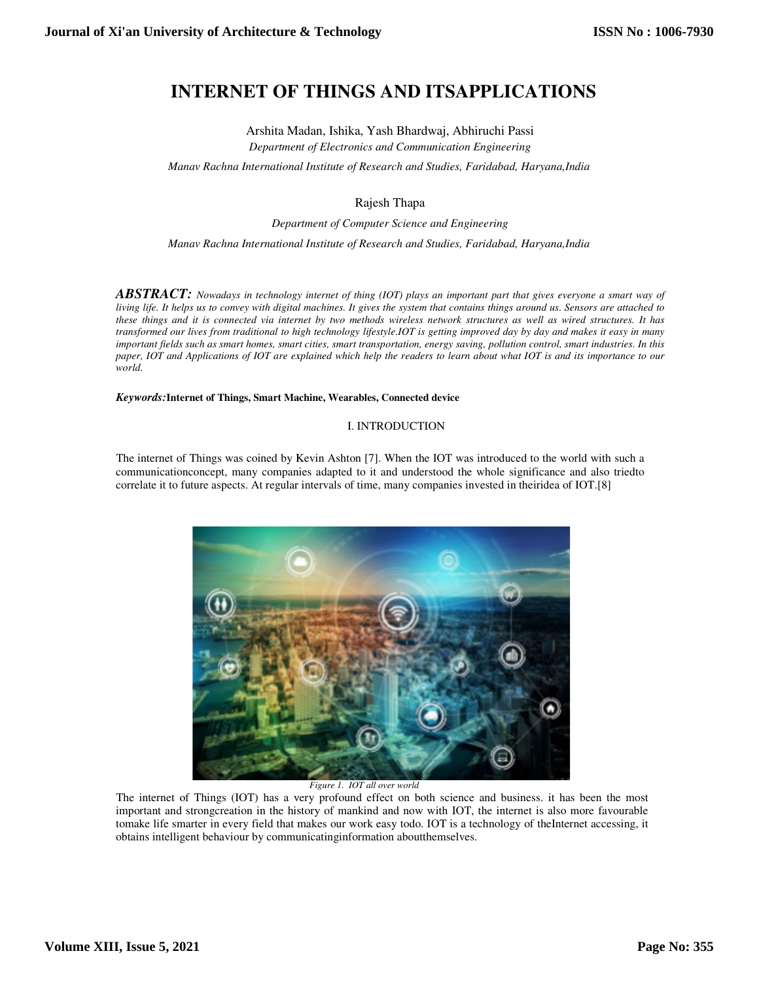# **INTERNET OF THINGS AND ITSAPPLICATIONS**

Arshita Madan, Ishika, Yash Bhardwaj, Abhiruchi Passi *Department of Electronics and Communication Engineering*

*Manav Rachna International Institute of Research and Studies Communication Studies, Faridabad, Haryana,India*

Rajesh Thapa

*Department of Computer Science and Engineering* 

*Manav Rachna International Institute of Research and Studies Studies, Faridabad, Haryana,India*

ABSTRACT: Nowadays in technology internet of thing (IOT) plays an important part that gives everyone a smart way of living life. It helps us to convey with digital machines. It gives the system that contains things around us. Sensors are attached to *these things and it is connected via internet by two metho methods wireless network structures as well as wired structures. It has transformed our lives from traditional to high technology lifestyle.IOT is getting improved day by day and makes it easy in m* transformed our lives from traditional to high technology lifestyle.IOT is getting improved day by day and makes it easy in many<br>important fields such as smart homes, smart cities, smart transportation, energy saving, poll important fields such as smart homes, smart cities, smart transportation, energy saving, pollution control, smart industries. In this<br>paper, IOT and Applications of IOT are explained which help the readers to learn about w *world.* 

#### Keywords: Internet of Things, Smart Machine, Wearables, Connected device

#### I. INTRODUCTION

The internet of Things was coined by Kevin Ashton [7]. When the IOT was introduced to the world with such a communicationconcept, many companies adapted to it and understood the whole significance and also triedto communicationconcept, many companies adapted to it and understood the whole significance and also correlate it to future aspects. At regular intervals of time, many companies invested in theiridea of IOT.[8]



*Figure 1. IOT all over world* 

The internet of Things (IOT) has a very profound effect on both science and business. it has been the most important and strongcreation in the history of mankind and now with IOT, the internet is also more favourable tomake life smarter in every field that makes our work easy todo. IOT is a technology of theInternet accessing, it obtains intelligent behaviour by communicatinginformation aboutthemselves.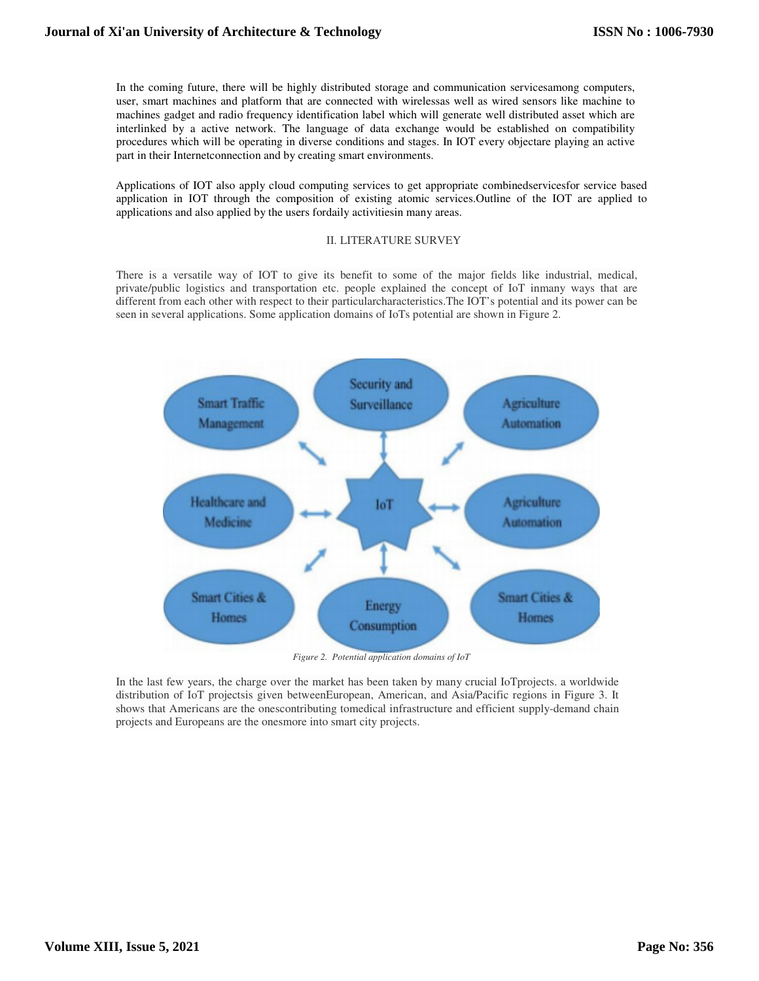In the coming future, there will be highly distributed storage and communication servicesamong computers, In the coming future, there will be highly distributed storage and communication servicesamong computers, user, smart machines and platform that are connected with wirelessas well as wired sensors like machine to machines gadget and radio frequency identification label which will generate well distributed asset which are interlinked by a active network. The language of data exchange would be established on compatibility interlinked by a active network. The language of data exchange would be established on compatibility procedures which will be operating in diverse conditions and stages. In IOT every objectare playing an active part in their Internetconnection and by creating smart environments.

Applications of IOT also apply cloud computing services to get appropriate combinedservicesfor service based application in IOT through the composition of existing atomic services.Outline of the IOT are applied to applications and also applied by the users fordaily activitiesin many areas. part in their Internetconnection and by creating smart environments.<br>Applications of IOT also apply cloud computing services to get appropri<br>application in IOT through the composition of existing atomic service<br>application

There is a versatile way of IOT to give its benefit to some of the major fields like industrial, medical, private/public logistics and transportation etc. people explained the concept of IoT inmany ways that are different from each other with respect to their particularcharacteristics. The IOT's potential and its power can be seen in several applications. Some application domains of IoTs potential are shown in Figure 2.



*F Figure 2. Potential application domains of IoT*

In the last few years, the charge over the market has been taken by many crucial IoTprojects. a distribution of IoT projectsis given betweenEuropean, American, and Asia/Pacific regions in Figure 3. It shows that Americans are the onescontributing tomedical infrastructure and efficient supply-demand chain projects and Europeans are the onesmore into smart city projects.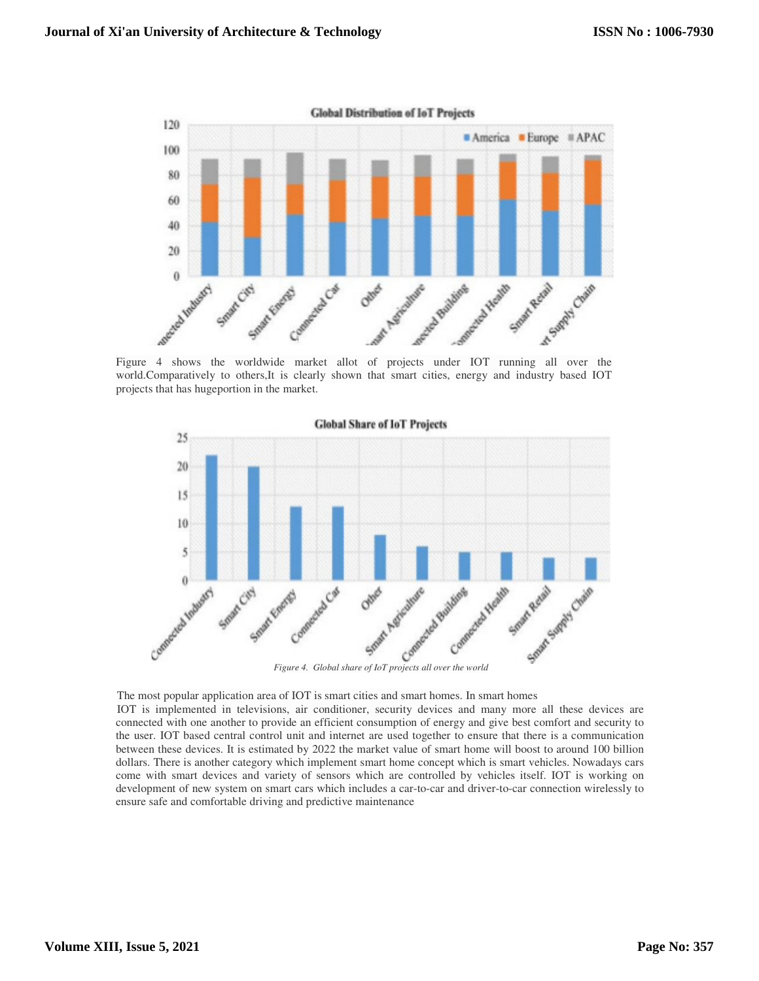

Figure 4 shows the worldwide market allot of projects under IOT running all over the world.Comparatively to others,It is clearly shown that smart cities, energy and industry based IOT projects that has hugeportion in the market.



The most popular application area of IOT is smart cities and smart homes. In smart homes IOT is implemented in televisions, air conditioner, security devices and many more all these devices are connected with one another to provide an efficient consumption of energy and give best comfort and security to connected with one another to provide an efficient consumption of energy and give best comfort and security to<br>the user. IOT based central control unit and internet are used together to ensure that there is a communication between these devices. It is estimated by 2022 the market value of smart home will boost to around 100 billion between these devices. It is estimated by 2022 the market value of smart home will boost to around 100 billion dollars. There is another category which implement smart home concept which is smart vehicles. Nowadays cars come with smart devices and variety of sensors which are controlled by vehicles itself. IOT is working on development of new system on smart cars which includes a car-to-car and driver-to-car connection wirelessly to ensure safe and comfortable driving and predictive maintenance

# **Volume XIII, Issue 5, 2021**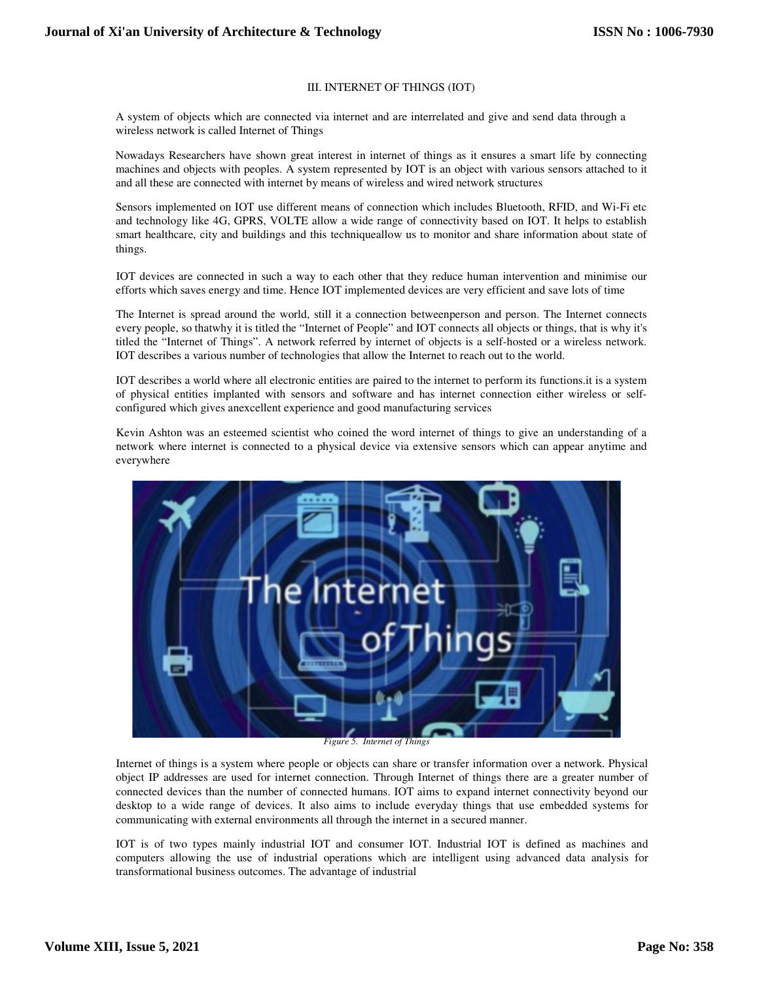### III. INTERNET OF THINGS (IOT)

A system of objects which are connected via internet and are interrelated and give and send data through a wireless network is called Internet of Things A system of objects which are connected via internet and are interrelated and give and send data through a wireless network is called Internet of Things<br>Nowadays Researchers have shown great interest in internet of things

machines and objects with peoples. A system represented by IOT is an object with various sensors attached to it and all these are connected with internet by means of wireless and wired network structures

Sensors implemented on IOT use different means of connection which includes Bluetooth, RFID, and Wi machines and objects with peoples. A system represented by IOT is an object with various sensors attached to it<br>and all these are connected with internet by means of wireless and wired network structures<br>Sensors implemente smart healthcare, city and buildings and this techniqueallow us to monitor and share information about state of things.

IOT devices are connected in such a way to each other that they reduce human intervention and minimise our efforts which saves energy and time. Hence IOT implemented devices are very efficient and save lots of time is techniqueallow us to monitor and share information about state of<br>to each other that they reduce human intervention and minimise our<br>IOT implemented devices are very efficient and save lots of time<br>till it a connection

The Internet is spread around the world, still it a connection betweenperson and person. The Internet every people, so thatwhy it is titled the "Internet of People" and IOT connects all objects or things, that is why it's titled the "Internet of Things". A network referred by internet of objects is a self-hosted or a wireless network. IOT describes a various number of technologies that allow the Internet to reach out to the world. titled the "Internet of Things". A network referred by internet of objects is a self-hosted or a wireless network.<br>IOT describes a various number of technologies that allow the Internet to reach out to the world.<br>IOT descr

of physical entities implanted with sensors and software and has internet connection either wireless or self configured which gives anexcellent experience and good manufacturing services IOT describes a world where all electronic entities are paired to the internet to perform physical entities implanted with sensors and software and has internet coronfigured which gives anexcellent experience and good manu sensors and software and has internet connection either wireless or self-

Kevin Ashton was an esteemed scientist who coined the word internet of things to give an understanding of a Kevin Ashton was an esteemed scientist who coined the word internet of things to give an understanding of a network where internet is connected to a physical device via extensive sensors which can appear anytime and everywhere



*Figure 5. Internet of Things*

Internet of things is a system where people or objects can share or transfer information over a network. Physical object IP addresses are used for internet connection. Through Internet of things there are a greater number of connected devices than the number of connected humans. IOT aims to expand internet connectivity beyond our desktop to a wide range of devices. It also aims to include everyday things that use embedded systems for communicating with external environments all through the internet in a secured manner. connected devices than the number of connected humans. IOT aims to expand internet connectivity beyond our desktop to a wide range of devices. It also aims to include everyday things that use embedded systems for communica

IOT is of two types mainly industrial IOT and consumer IOT. Industrial IOT is defined as machines and transformational business outcomes. The advantage of industrial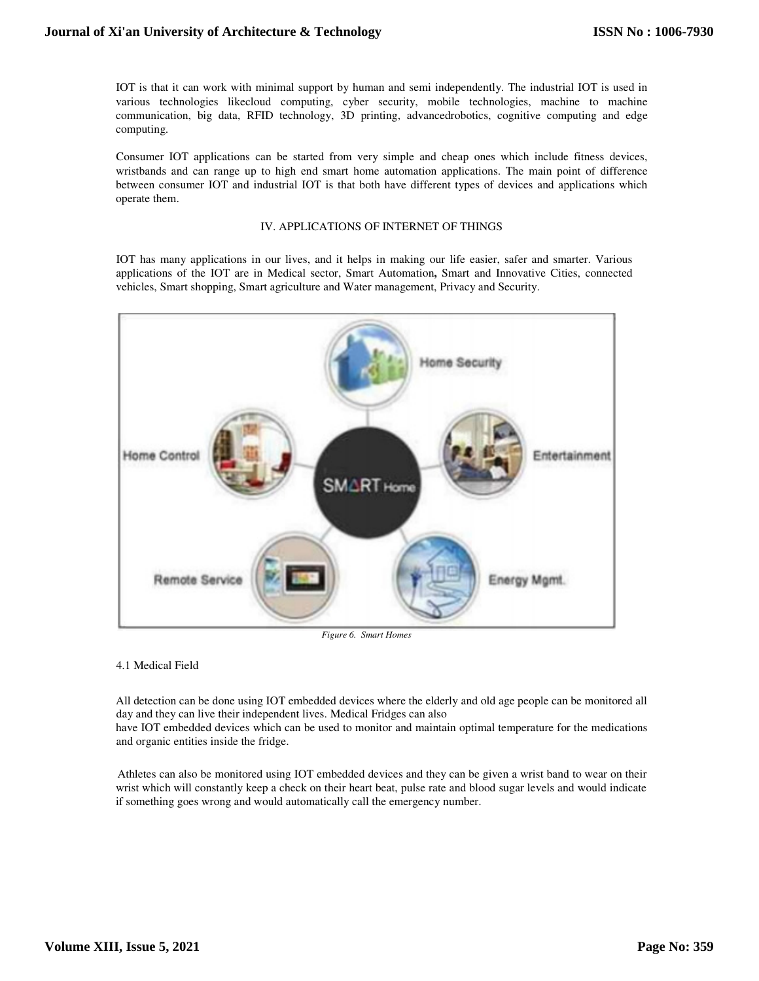IOT is that it can work with minimal support by human and semi independently. The industrial IOT is used various technologies likecloud computing, cyber security, mobile technologies, machine to machine communication, big data, RFID technology, 3D printing, advancedrobotics, cognitive computing and edge computing. communication, big data, RFID technology, 3D printing, advancedrobotics, cognitive computing and edge<br>computing.<br>Consumer IOT applications can be started from very simple and cheap ones which include fitness devices,

wristbands and can range up to high end smart home automation applications. The main point of difference between consumer IOT and industrial IOT is that both have different types of devices and applications which operate them. communication, big data, RFID technology, 3D printing, advancedrobotics, computing.<br>
Consumer IOT applications can be started from very simple and cheap ones w<br>
wristbands and can range up to high end smart home automation

### IV. APPLICATIONS OF INTERNET OF THINGS

IOT has many applications in our lives, and it helps in making our life easier, safer and smarter. Various IOT has many applications in our lives, and it helps in making our life easier, safer and smarter. Various applications of the IOT are in Medical sector, Smart Automation, Smart and Innovative Cities, connected vehicles, Smart shopping, Smart agriculture and Water management, Privacy and Security.



*Figure 6. Smart Homes*

#### 4.1 Medical Field

All detection can be done using IOT embedded devices where the elderly and old age people can be monitored all day and they can live their independent lives. Medical Fridges can also day and they can live their independent lives. Medical Fridges can also<br>have IOT embedded devices which can be used to monitor and maintain optimal temperature for the medications

and organic entities inside the fridge.

Athletes can also be monitored using IOT embedded devices and they can be given a wrist band to wear on their wrist which will constantly keep a check on their heart beat, pulse rate and blood sugar levels and would indicate if something goes wrong and would automatically call the emergency number.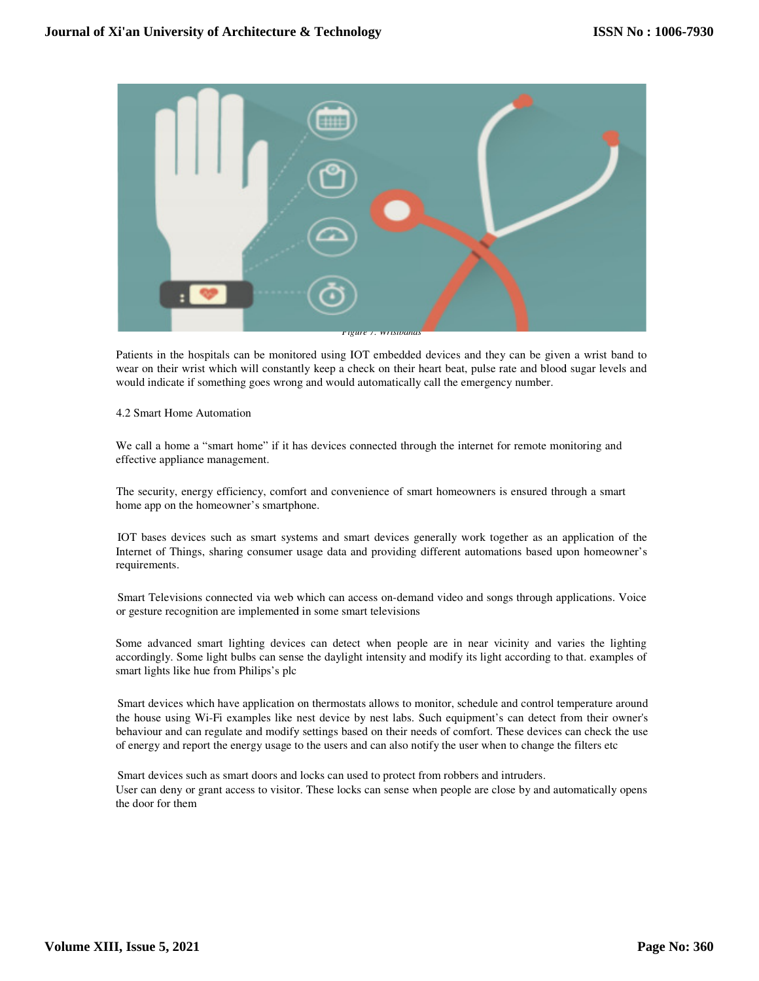

Patients in the hospitals can be monitored using IOT embedded devices and they can be given a wrist band to Patients in the hospitals can be monitored using IOT embedded devices and they can be given a wrist band to wear on their wrist which will constantly keep a check on their heart beat, pulse rate and blood sugar levels and would indicate if something goes wrong and would automatically call the emergency number. Patients in the hospitals can be monitored using IOT embedded devices and they can be given a wrist band to wear on their wrist which will constantly keep a check on their heart beat, pulse rate and blood sugar levels and

## 4.2 Smart Home Automation

We call a home a "smart home" if it has devices connected through the internet for remote monitoring and effective appliance management. We call a home a "smart home" if it has devices connected through the internet for remote monitoring and effective appliance management.<br>The security, energy efficiency, comfort and convenience of smart homeowners is ensur

home app on the homeowner's smartphone.

IOT bases devices such as smart systems and smart devices generally work together as an application of the Internet of Things, sharing consumer usage data and providing different automations based upon homeowner's requirements.

Smart Televisions connected via web which can access on-demand video and songs through applications. Voice or gesture recognition are implemented in some smart televisions

or gesture recognition are implemented in some smart televisions<br>Some advanced smart lighting devices can detect when people are in near vicinity and varies the lighting Smart Televisions connected via web which can access on-demand video and songs through applications. Voice<br>or gesture recognition are implemented in some smart televisions<br>Some advanced smart lighting devices can detect wh smart lights like hue from Philips's plc accordingly. Some light bulbs can sense the daylight intensity and modify its light according to that. examples of<br>Smart lights like hue from Philips's plc<br>Smart devices which have application on thermostats allows to moni

the house using Wi-Fi examples like nest device by nest labs. Such equipment's can detect from their owner's behaviour and can regulate and modify settings based on their needs of comfort. These devices can check the use behaviour and can regulate and modify settings based on their needs of comfort. These devices can check th<br>of energy and report the energy usage to the users and can also notify the user when to change the filters etc

Smart devices such as smart doors and locks can used to protect from robbers and intruders. User can deny or grant access to visitor. These locks can sense when people are close by and automatically opens the door for them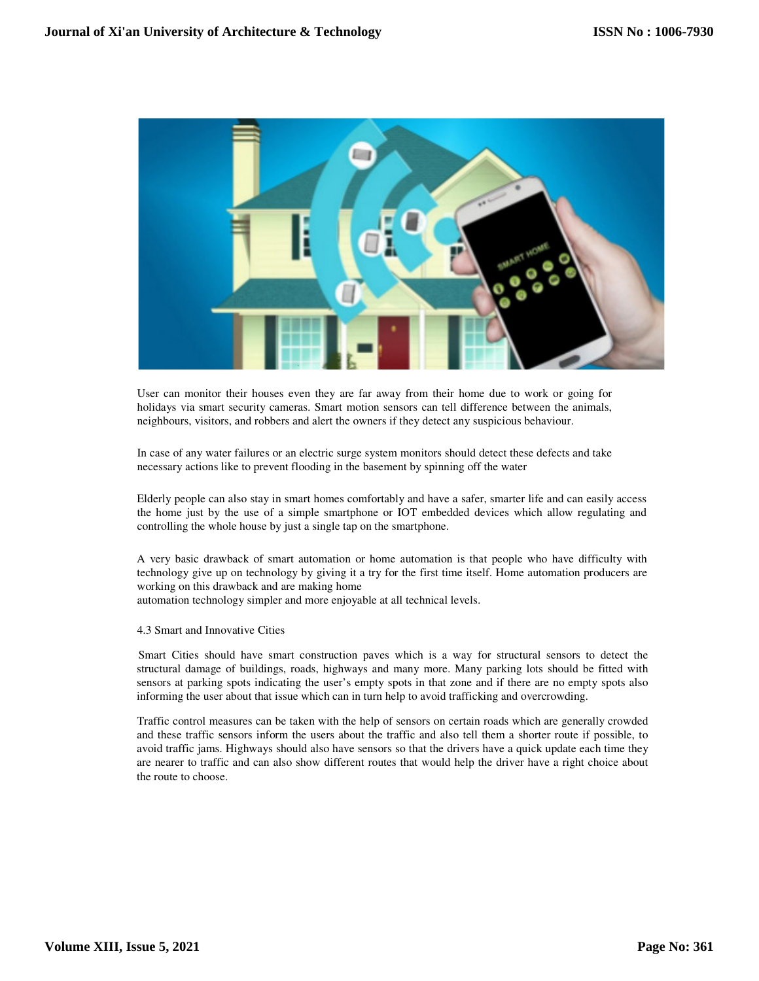

User can monitor their houses even they are far away from their home due to work or going for User can monitor their houses even they are far away from their home due to work or going for holidays via smart security cameras. Smart motion sensors can tell difference between the animals, neighbours, visitors, and robbers and alert the owners if they detect any suspicious behaviour.

In case of any water failures or an electric surge system monitors should detect these defects necessary actions like to prevent flooding in the basement by spinning off the water necessary actions like to prevent flooding in the basement by spinning off the water

Elderly people can also stay in smart homes comfortably and have a safer, smarter life and can easily access the home just by the use of a simple smartphone or IOT embedded devices which allow regulating and controlling the whole house by just a single tap on the smartphone.

A very basic drawback of smart automation or home automation is that people who have difficulty with technology give up on technology by giving it a try for the first time itself. Home automation producers are working on this drawback and are making home Elderly people can also stay in smart homes comfortably and have a safer, smarter life and can easily access<br>the home just by the use of a simple smartphone or IOT embedded devices which allow regulating and<br>controlling th

automation technology simpler and more enjoyable at all technical levels.

4.3 Smart and Innovative Cities

Smart Cities should have smart construction paves which is a way for structural sensors to detect the structural damage of buildings, roads, highways and many more. Many parking lots should be fitted with sensors at parking spots indicating the user's empty spots in that zone and if there are no empty spots also informing the user about that issue which can in turn help to avoid trafficking and overcrowding.

Traffic control measures can be taken with the help of sensors on certain roads which are generally crowded and these traffic sensors inform the users about the traffic and also tell them a shorter route if possible, to avoid traffic jams. Highways should also have sensors so that the drivers have a quick update each time they are nearer to traffic and can also show different routes that would help the driver have a right choice about the route to choose. sensors at parking spots indicating the user's empty spots in that zone and if there are no empty spots also informing the user about that issue which can in turn help to avoid trafficking and overcrowding.<br>Traffic control User can monitor their houses even they are far away from their home due to work or going for<br>bolidays via smart security cameas. Smart motion sensors can tell difference between the animals,<br>neighbours, visitors, and robb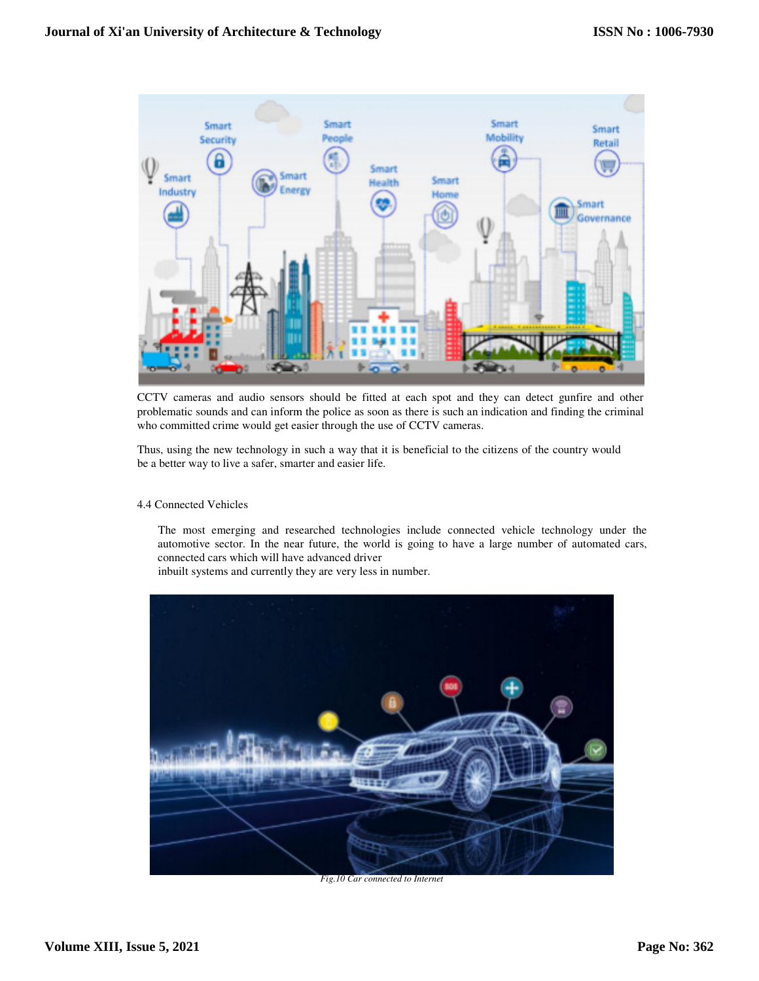

CCTV cameras and audio sensors should be fitted at each spot and they can detect gunfire and other problematic sounds and can inform the police as soon as there is such an indication and finding the criminal problematic sounds and can inform the police as soon as there is such an in who committed crime would get easier through the use of CCTV cameras.

Thus, using the new technology in such a way that it is beneficial to the citizens of the country would be a better way to live a safer, smarter and easier life. It most emerging and researched technologies include connected vehicle technology under the<br>The most emerging and researched technologies include connected vehicle technology under the<br>The most emerging and researched tech

# 4.4 Connected Vehicles

automotive sector. In the near future, the world is going to have a large number of automated cars, connected cars which will have advanced driver tive sector. In the near future, the wor<br>ted cars which will have advanced driver<br>systems and currently they are very less i

inbuilt systems and currently they are very less in number.



*Fig.10 Car connected to Internet*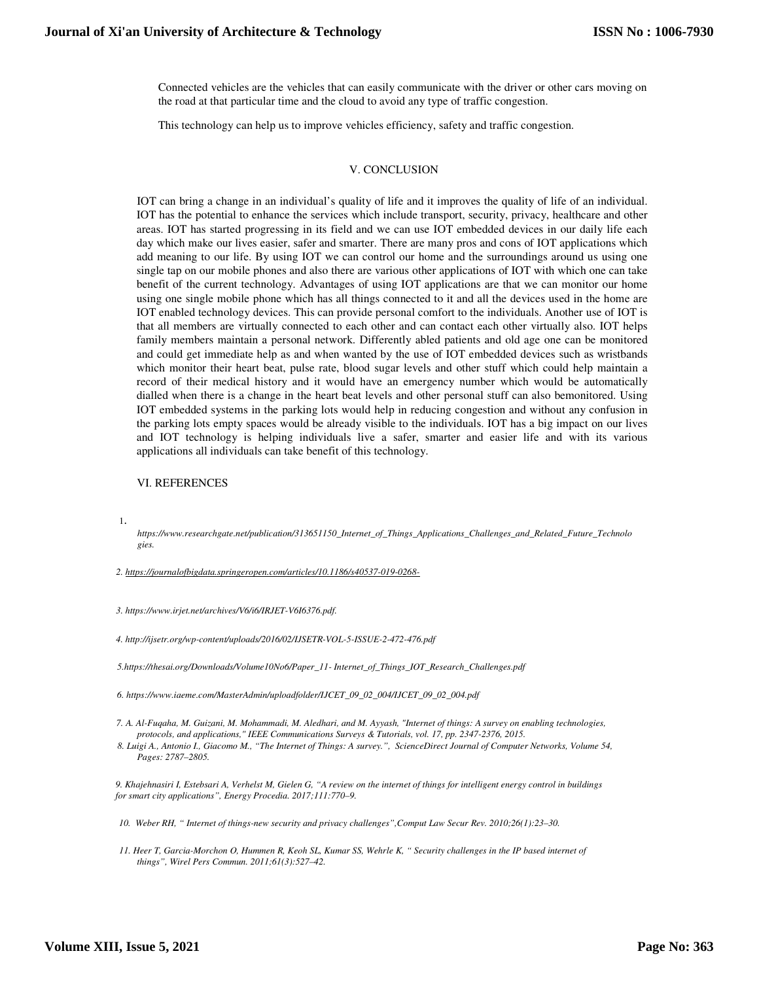Connected vehicles are the vehicles that can easily communicate with the driver or other cars moving on the road at that particular time and the cloud to avoid any type of traffic congestion.

This technology can help us to improve vehicles efficiency, safety and traffic congestion.

#### V. CONCLUSION

IOT can bring a change in an individual's quality of life and it improves the quality of life of an individual. IOT has the potential to enhance the services which include transport, security, privacy, healthcare and other areas. IOT has started progressing in its field and we can use IOT embedded devices in our daily life each day which make our lives easier, safer and smarter. There are many pros and cons of IOT applications which add meaning to our life. By using IOT we can control our home and the surroundings around us using one single tap on our mobile phones and also there are various other applications of IOT with which one can take benefit of the current technology. Advantages of using IOT applications are that we can monitor our home using one single mobile phone which has all things connected to it and all the devices used in the home are IOT enabled technology devices. This can provide personal comfort to the individuals. Another use of IOT is that all members are virtually connected to each other and can contact each other virtually also. IOT helps family members maintain a personal network. Differently abled patients and old age one can be monitored and could get immediate help as and when wanted by the use of IOT embedded devices such as wristbands which monitor their heart beat, pulse rate, blood sugar levels and other stuff which could help maintain a record of their medical history and it would have an emergency number which would be automatically dialled when there is a change in the heart beat levels and other personal stuff can also bemonitored. Using IOT embedded systems in the parking lots would help in reducing congestion and without any confusion in the parking lots empty spaces would be already visible to the individuals. IOT has a big impact on our lives and IOT technology is helping individuals live a safer, smarter and easier life and with its various applications all individuals can take benefit of this technology.

#### VI. REFERENCES

1.

*https://www.researchgate.net/publication/313651150\_Internet\_of\_Things\_Applications\_Challenges\_and\_Related\_Future\_Technolo gies.* 

*2. https://journalofbigdata.springeropen.com/articles/10.1186/s40537-019-0268-*

*3. https://www.irjet.net/archives/V6/i6/IRJET-V6I6376.pdf.* 

*4. http://ijsetr.org/wp-content/uploads/2016/02/IJSETR-VOL-5-ISSUE-2-472-476.pdf* 

*5.https://thesai.org/Downloads/Volume10No6/Paper\_11- Internet\_of\_Things\_IOT\_Research\_Challenges.pdf* 

*6. https://www.iaeme.com/MasterAdmin/uploadfolder/IJCET\_09\_02\_004/IJCET\_09\_02\_004.pdf* 

*7. A. Al-Fuqaha, M. Guizani, M. Mohammadi, M. Aledhari, and M. Ayyash, "Internet of things: A survey on enabling technologies, protocols, and applications," IEEE Communications Surveys & Tutorials, vol. 17, pp. 2347-2376, 2015.* 

*8. Luigi A., Antonio I., Giacomo M., "The Internet of Things: A survey.", ScienceDirect Journal of Computer Networks, Volume 54, Pages: 2787–2805.* 

*9. Khajehnasiri I, Estebsari A, Verhelst M, Gielen G, "A review on the internet of things for intelligent energy control in buildings for smart city applications", Energy Procedia. 2017;111:770–9.* 

*10. Weber RH, " Internet of things-new security and privacy challenges",Comput Law Secur Rev. 2010;26(1):23–30.* 

*11. Heer T, Garcia-Morchon O, Hummen R, Keoh SL, Kumar SS, Wehrle K, " Security challenges in the IP based internet of things", Wirel Pers Commun. 2011;61(3):527–42.*